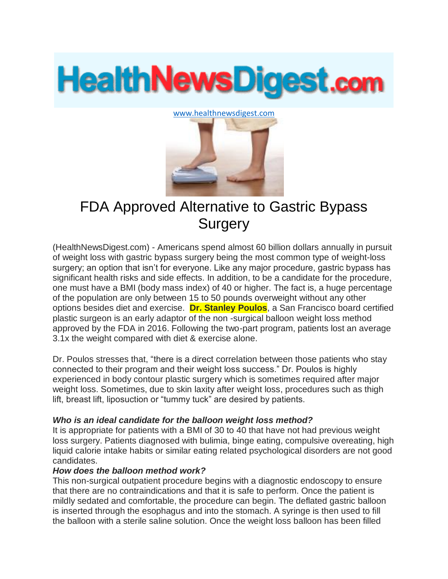# **HealthNewsDigest.com**

#### [www.healthnewsdigest.com](http://www.healthnewsdigest.com/)



# FDA Approved Alternative to Gastric Bypass **Surgery**

(HealthNewsDigest.com) - Americans spend almost 60 billion dollars annually in pursuit of weight loss with gastric bypass surgery being the most common type of weight-loss surgery; an option that isn't for everyone. Like any major procedure, gastric bypass has significant health risks and side effects. In addition, to be a candidate for the procedure, one must have a BMI (body mass index) of 40 or higher. The fact is, a huge percentage of the population are only between 15 to 50 pounds overweight without any other options besides diet and exercise. **Dr. Stanley Poulos**, a San Francisco board certified plastic surgeon is an early adaptor of the non -surgical balloon weight loss method approved by the FDA in 2016. Following the two-part program, patients lost an average 3.1x the weight compared with diet & exercise alone.

Dr. Poulos stresses that, "there is a direct correlation between those patients who stay connected to their program and their weight loss success." Dr. Poulos is highly experienced in body contour plastic surgery which is sometimes required after major weight loss. Sometimes, due to skin laxity after weight loss, procedures such as thigh lift, breast lift, liposuction or "tummy tuck" are desired by patients.

# *Who is an ideal candidate for the balloon weight loss method?*

It is appropriate for patients with a BMI of 30 to 40 that have not had previous weight loss surgery. Patients diagnosed with bulimia, binge eating, compulsive overeating, high liquid calorie intake habits or similar eating related psychological disorders are not good candidates.

# *How does the balloon method work?*

This non-surgical outpatient procedure begins with a diagnostic endoscopy to ensure that there are no contraindications and that it is safe to perform. Once the patient is mildly sedated and comfortable, the procedure can begin. The deflated gastric balloon is inserted through the esophagus and into the stomach. A syringe is then used to fill the balloon with a sterile saline solution. Once the weight loss balloon has been filled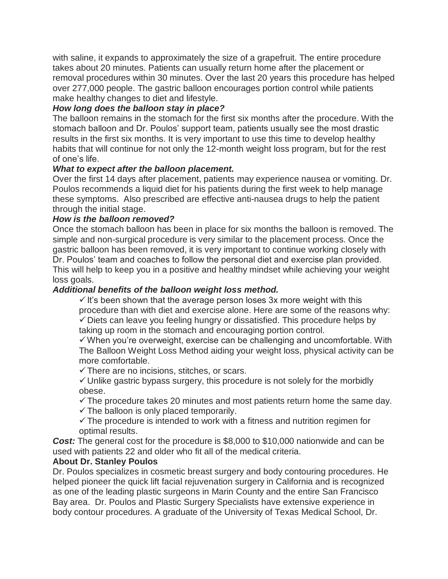with saline, it expands to approximately the size of a grapefruit. The entire procedure takes about 20 minutes. Patients can usually return home after the placement or removal procedures within 30 minutes. Over the last 20 years this procedure has helped over 277,000 people. The gastric balloon encourages portion control while patients make healthy changes to diet and lifestyle.

# *How long does the balloon stay in place?*

The balloon remains in the stomach for the first six months after the procedure. With the stomach balloon and Dr. Poulos' support team, patients usually see the most drastic results in the first six months. It is very important to use this time to develop healthy habits that will continue for not only the 12-month weight loss program, but for the rest of one's life.

# *What to expect after the balloon placement.*

Over the first 14 days after placement, patients may experience nausea or vomiting. Dr. Poulos recommends a liquid diet for his patients during the first week to help manage these symptoms. Also prescribed are effective anti-nausea drugs to help the patient through the initial stage.

# *How is the balloon removed?*

Once the stomach balloon has been in place for six months the balloon is removed. The simple and non-surgical procedure is very similar to the placement process. Once the gastric balloon has been removed, it is very important to continue working closely with Dr. Poulos' team and coaches to follow the personal diet and exercise plan provided. This will help to keep you in a positive and healthy mindset while achieving your weight loss goals.

# *Additional benefits of the balloon weight loss method.*

 $\checkmark$  it's been shown that the average person loses 3x more weight with this procedure than with diet and exercise alone. Here are some of the reasons why:  $\checkmark$  Diets can leave you feeling hungry or dissatisfied. This procedure helps by taking up room in the stomach and encouraging portion control.

 $\checkmark$  When you're overweight, exercise can be challenging and uncomfortable. With The Balloon Weight Loss Method aiding your weight loss, physical activity can be more comfortable.

 $\checkmark$  There are no incisions, stitches, or scars.

 $\checkmark$  Unlike gastric bypass surgery, this procedure is not solely for the morbidly obese.

 $\checkmark$  The procedure takes 20 minutes and most patients return home the same day.  $\checkmark$  The balloon is only placed temporarily.

 $\checkmark$  The procedure is intended to work with a fitness and nutrition regimen for optimal results.

*Cost:* The general cost for the procedure is \$8,000 to \$10,000 nationwide and can be used with patients 22 and older who fit all of the medical criteria.

# **About Dr. Stanley Poulos**

Dr. Poulos specializes in cosmetic breast surgery and body contouring procedures. He helped pioneer the quick lift facial rejuvenation surgery in California and is recognized as one of the leading plastic surgeons in Marin County and the entire San Francisco Bay area. Dr. Poulos and Plastic Surgery Specialists have extensive experience in body contour procedures. A graduate of the University of Texas Medical School, Dr.